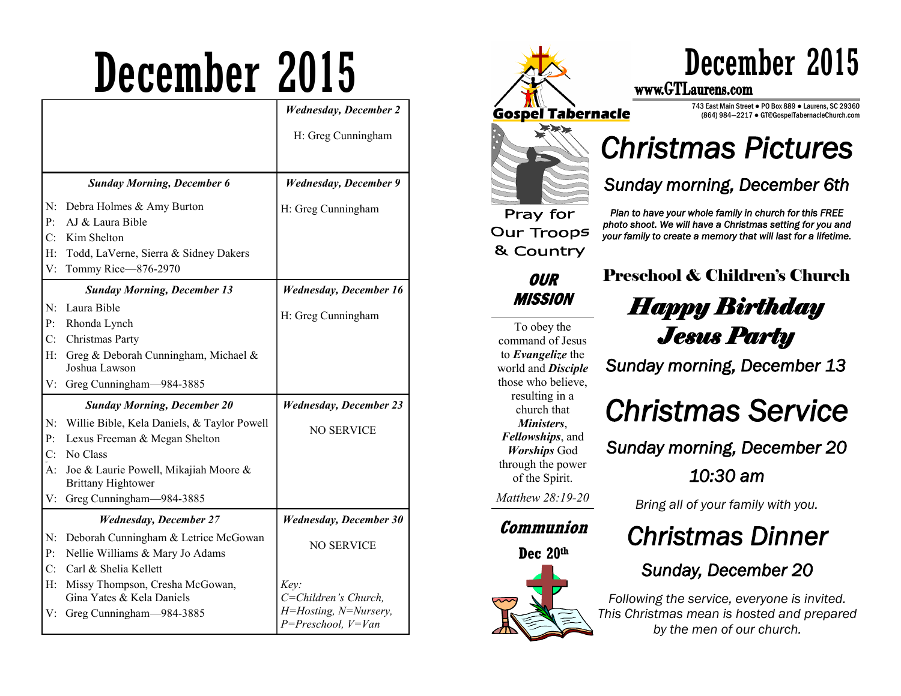# December 2015

|                |                                                                    | <b>Wednesday</b> , December 2                     |
|----------------|--------------------------------------------------------------------|---------------------------------------------------|
|                |                                                                    | H: Greg Cunningham                                |
|                |                                                                    |                                                   |
|                | <b>Sunday Morning, December 6</b>                                  | <b>Wednesday, December 9</b>                      |
| N:             | Debra Holmes & Amy Burton                                          | H: Greg Cunningham                                |
| P:             | AJ & Laura Bible                                                   |                                                   |
| C:             | Kim Shelton                                                        |                                                   |
| Н:             | Todd, LaVerne, Sierra & Sidney Dakers                              |                                                   |
| V:             | Tommy Rice-876-2970                                                |                                                   |
|                | <b>Sunday Morning, December 13</b>                                 | <b>Wednesday, December 16</b>                     |
| $N$ :          | Laura Bible                                                        |                                                   |
| P <sub>i</sub> | Rhonda Lynch                                                       | H: Greg Cunningham                                |
| $C_{\cdot}$    | Christmas Party                                                    |                                                   |
| $H$ :          | Greg & Deborah Cunningham, Michael &<br>Joshua Lawson              |                                                   |
| V:             | Greg Cunningham-984-3885                                           |                                                   |
|                | <b>Sunday Morning, December 20</b>                                 | <b>Wednesday, December 23</b>                     |
| N:             | Willie Bible, Kela Daniels, & Taylor Powell                        | <b>NO SERVICE</b>                                 |
| P:             | Lexus Freeman & Megan Shelton                                      |                                                   |
| C:             | No Class                                                           |                                                   |
| A:             | Joe & Laurie Powell, Mikajiah Moore &<br><b>Brittany Hightower</b> |                                                   |
| V:             | Greg Cunningham-984-3885                                           |                                                   |
|                | <b>Wednesday, December 27</b>                                      | <b>Wednesday, December 30</b>                     |
| N:             | Deborah Cunningham & Letrice McGowan                               |                                                   |
| P:             | Nellie Williams & Mary Jo Adams                                    | <b>NO SERVICE</b>                                 |
| C:             | Carl & Shelia Kellett                                              |                                                   |
| H:             | Missy Thompson, Cresha McGowan,                                    | Key:                                              |
|                | Gina Yates & Kela Daniels                                          | C=Children's Church,                              |
| V:             | Greg Cunningham-984-3885                                           | H=Hosting, N=Nursery,<br>$P = Preschool, V = Van$ |



743 East Main Street ● PO Box 889 ● Laurens, SC 29360 (864) 984—2217 ● GT@GospelTabernacleChurch.com

## *Christmas Pictures*

#### *Sunday morning, December 6th*

To obey the command of Jesus to *Evangelize* the world and *Disciple*  those who believe, resulting in a church that *Ministers*, *Fellowships*, and *Worships* God through the power of the Spirit.

*Matthew 28:19-20* 

#### **Communion**

**Dec 20th**



#### *Plan to have your whole family in church for this FREE photo shoot. We will have a Christmas setting for you and your family to create a memory that will last for a lifetime.*

Preschool & Children's Church *Happy Birthday Jesus Party* 

*Sunday morning, December 13* 

## *Christmas Service*

*Sunday morning, December 20* 

*10:30 am* 

*Bring all of your family with you.* 

### *Christmas Dinner*

### *Sunday, December 20*

*Following the service, everyone is invited. This Christmas mean is hosted and prepared by the men of our church.*